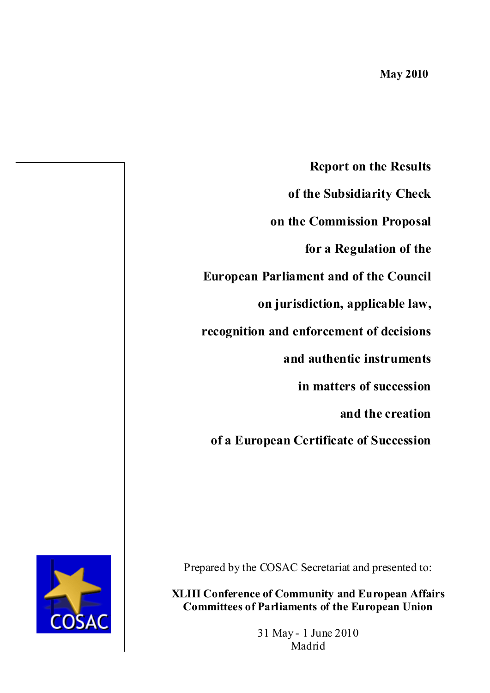**Report on the Results of the Subsidiarity Check on the Commission Proposal for a Regulation of the European Parliament and of the Council on jurisdiction, applicable law, recognition and enforcement of decisions and authentic instruments in matters of succession and the creation of a European Certificate of Succession**

Prepared by the COSAC Secretariat and presented to:

**XLIII Conference of Community and European Affairs Committees of Parliaments of the European Union**

> 31 May - 1 June 2010 Madrid

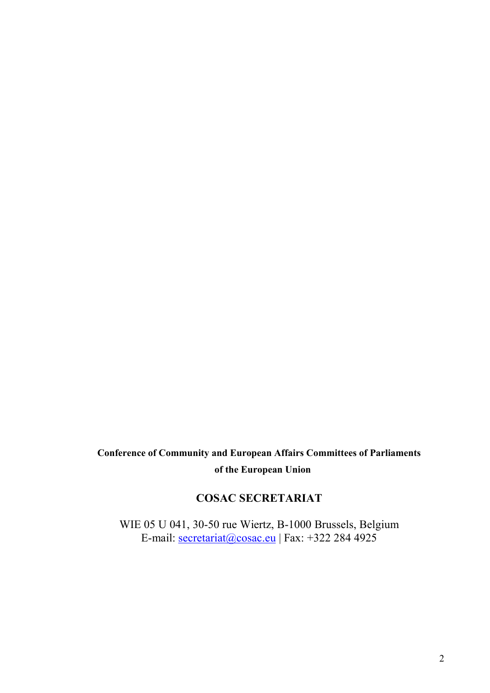# **Conference of Community and European Affairs Committees of Parliaments of the European Union**

## **COSAC SECRETARIAT**

WIE 05 U 041, 30-50 rue Wiertz, B-1000 Brussels, Belgium E-mail: [secretariat@cosac.eu](mailto:secretariat@cosac.eu) | Fax: +322 284 4925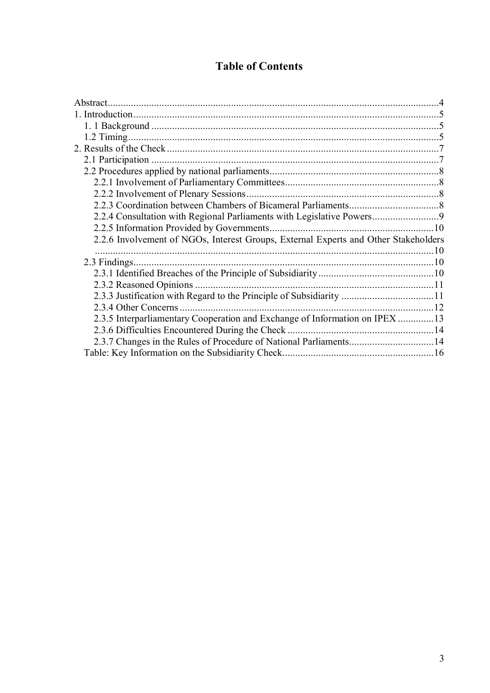# **Table of Contents**

| Abstract.                                                                           |  |
|-------------------------------------------------------------------------------------|--|
|                                                                                     |  |
|                                                                                     |  |
|                                                                                     |  |
|                                                                                     |  |
|                                                                                     |  |
|                                                                                     |  |
|                                                                                     |  |
|                                                                                     |  |
|                                                                                     |  |
| 2.2.4 Consultation with Regional Parliaments with Legislative Powers                |  |
|                                                                                     |  |
| 2.2.6 Involvement of NGOs, Interest Groups, External Experts and Other Stakeholders |  |
|                                                                                     |  |
|                                                                                     |  |
|                                                                                     |  |
|                                                                                     |  |
|                                                                                     |  |
|                                                                                     |  |
| 2.3.5 Interparliamentary Cooperation and Exchange of Information on IPEX 13         |  |
|                                                                                     |  |
| 2.3.7 Changes in the Rules of Procedure of National Parliaments 14                  |  |
|                                                                                     |  |
|                                                                                     |  |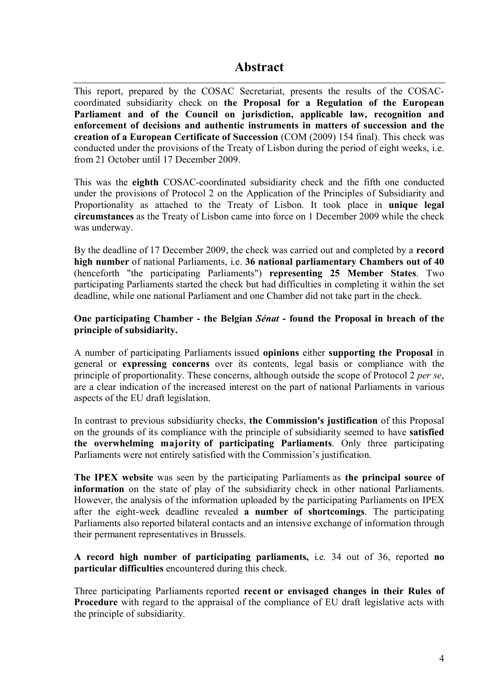<span id="page-3-0"></span>This report, prepared by the COSAC Secretariat, presents the results of the COSACcoordinated subsidiarity check on **the Proposal for a Regulation of the European Parliament and of the Council on jurisdiction, applicable law, recognition and enforcement of decisions and authentic instruments in matters of succession and the creation of a European Certificate of Succession** (COM (2009) 154 final). This check was conducted under the provisions of the Treaty of Lisbon during the period of eight weeks, i.e. from 21 October until 17 December 2009.

This was the **eighth** COSAC-coordinated subsidiarity check and the fifth one conducted under the provisions of Protocol 2 on the Application of the Principles of Subsidiarity and Proportionality as attached to the Treaty of Lisbon. It took place in **unique legal circumstances** as the Treaty of Lisbon came into force on 1 December 2009 while the check was underway.

By the deadline of 17 December 2009, the check was carried out and completed by a **record high number** of national Parliaments, i.e. **36 national parliamentary Chambers out of 40**  (henceforth "the participating Parliaments") **representing 25 Member States**. Two participating Parliaments started the check but had difficulties in completing it within the set deadline, while one national Parliament and one Chamber did not take part in the check.

#### **One participating Chamber - the Belgian** *Sénat* **- found the Proposal in breach of the principle of subsidiarity.**

A number of participating Parliaments issued **opinions** either **supporting the Proposal** in general or **expressing concerns** over its contents, legal basis or compliance with the principle of proportionality. These concerns, although outside the scope of Protocol 2 *per se*, are a clear indication of the increased interest on the part of national Parliaments in various aspects of the EU draft legislation.

In contrast to previous subsidiarity checks, **the Commission's justification** of this Proposal on the grounds of its compliance with the principle of subsidiarity seemed to have **satisfied the overwhelming majority of participating Parliaments**. Only three participating Parliaments were not entirely satisfied with the Commission's justification.

**The IPEX website** was seen by the participating Parliaments as **the principal source of information** on the state of play of the subsidiarity check in other national Parliaments. However, the analysis of the information uploaded by the participating Parliaments on IPEX after the eight-week deadline revealed **a number of shortcomings**. The participating Parliaments also reported bilateral contacts and an intensive exchange of information through their permanent representatives in Brussels.

**A record high number of participating parliaments,** i.e*.* 34 out of 36, reported **no particular difficulties** encountered during this check.

Three participating Parliaments reported **recent or envisaged changes in their Rules of Procedure** with regard to the appraisal of the compliance of EU draft legislative acts with the principle of subsidiarity.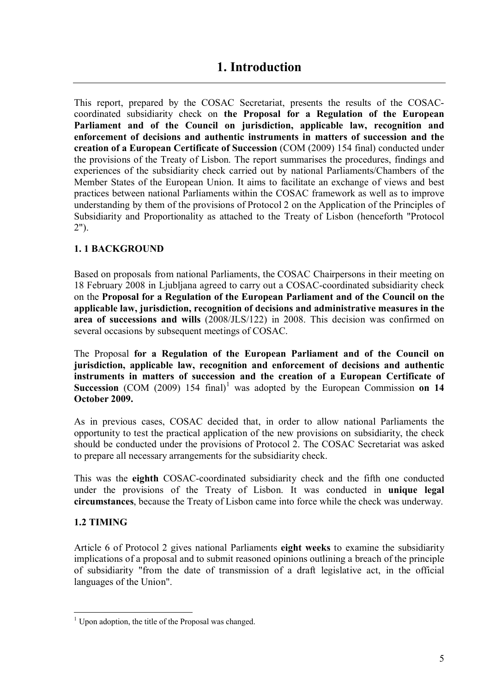<span id="page-4-0"></span>This report, prepared by the COSAC Secretariat, presents the results of the COSACcoordinated subsidiarity check on **the Proposal for a Regulation of the European Parliament and of the Council on jurisdiction, applicable law, recognition and enforcement of decisions and authentic instruments in matters of succession and the creation of a European Certificate of Succession** (COM (2009) 154 final) conducted under the provisions of the Treaty of Lisbon. The report summarises the procedures, findings and experiences of the subsidiarity check carried out by national Parliaments/Chambers of the Member States of the European Union. It aims to facilitate an exchange of views and best practices between national Parliaments within the COSAC framework as well as to improve understanding by them of the provisions of Protocol 2 on the Application of the Principles of Subsidiarity and Proportionality as attached to the Treaty of Lisbon (henceforth "Protocol 2").

## <span id="page-4-1"></span>**1. 1 BACKGROUND**

Based on proposals from national Parliaments, the COSAC Chairpersons in their meeting on 18 February 2008 in Ljubljana agreed to carry out a COSAC-coordinated subsidiarity check on the **Proposal for a Regulation of the European Parliament and of the Council on the applicable law, jurisdiction, recognition of decisions and administrative measures in the area of successions and wills** (2008/JLS/122) in 2008. This decision was confirmed on several occasions by subsequent meetings of COSAC.

The Proposal **for a Regulation of the European Parliament and of the Council on jurisdiction, applicable law, recognition and enforcement of decisions and authentic instruments in matters of succession and the creation of a European Certificate of Succession** (COM (2009) 154 final) [1](#page-4-3) was adopted by the European Commission **on 14 October 2009.**

As in previous cases, COSAC decided that, in order to allow national Parliaments the opportunity to test the practical application of the new provisions on subsidiarity, the check should be conducted under the provisions of Protocol 2. The COSAC Secretariat was asked to prepare all necessary arrangements for the subsidiarity check.

This was the **eighth** COSAC-coordinated subsidiarity check and the fifth one conducted under the provisions of the Treaty of Lisbon. It was conducted in **unique legal circumstances**, because the Treaty of Lisbon came into force while the check was underway.

## <span id="page-4-2"></span>**1.2 TIMING**

<u>.</u>

Article 6 of Protocol 2 gives national Parliaments **eight weeks** to examine the subsidiarity implications of a proposal and to submit reasoned opinions outlining a breach of the principle of subsidiarity "from the date of transmission of a draft legislative act, in the official languages of the Union".

<span id="page-4-3"></span> $1$  Upon adoption, the title of the Proposal was changed.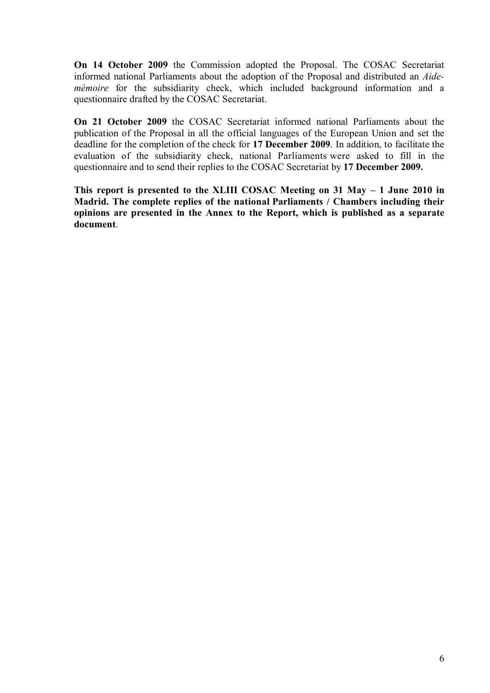**On 14 October 2009** the Commission adopted the Proposal. The COSAC Secretariat informed national Parliaments about the adoption of the Proposal and distributed an *Aidemémoire* for the subsidiarity check, which included background information and a questionnaire drafted by the COSAC Secretariat.

**On 21 October 2009** the COSAC Secretariat informed national Parliaments about the publication of the Proposal in all the official languages of the European Union and set the deadline for the completion of the check for **17 December 2009**. In addition, to facilitate the evaluation of the subsidiarity check, national Parliaments were asked to fill in the questionnaire and to send their replies to the COSAC Secretariat by **17 December 2009.**

**This report is presented to the XLIII COSAC Meeting on 31 May – 1 June 2010 in Madrid. The complete replies of the national Parliaments / Chambers including their opinions are presented in the Annex to the Report, which is published as a separate document**.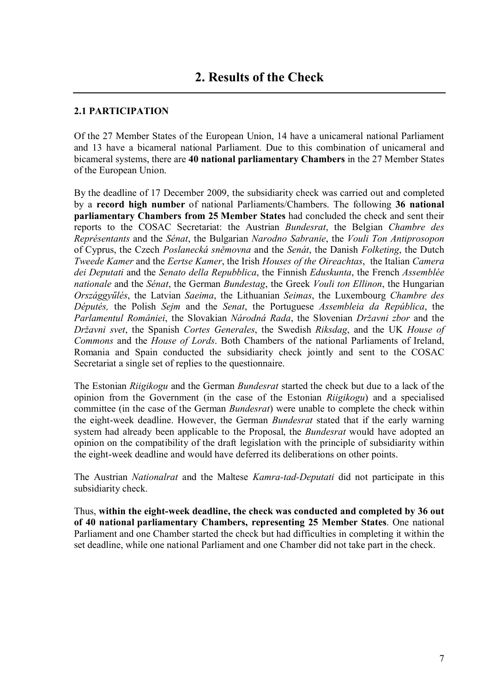## <span id="page-6-1"></span><span id="page-6-0"></span>**2.1 PARTICIPATION**

Of the 27 Member States of the European Union, 14 have a unicameral national Parliament and 13 have a bicameral national Parliament. Due to this combination of unicameral and bicameral systems, there are **40 national parliamentary Chambers** in the 27 Member States of the European Union.

By the deadline of 17 December 2009, the subsidiarity check was carried out and completed by a **record high number** of national Parliaments/Chambers. The following **36 national parliamentary Chambers from 25 Member States** had concluded the check and sent their reports to the COSAC Secretariat: the Austrian *Bundesrat*, the Belgian *Chambre des Représentants* and the *Sénat*, the Bulgarian *Narodno Sabranie*, the *Vouli Ton Antiprosopon* of Cyprus, the Czech *Poslanecká sněmovna* and the *Senát*, the Danish *Folketing*, the Dutch *Tweede Kamer* and the *Eertse Kamer*, the Irish *Houses of the Oireachtas*, the Italian *Camera dei Deputati* and the *Senato della Repubblica*, the Finnish *Eduskunta*, the French *Assemblée nationale* and the *Sénat*, the German *Bundestag*, the Greek *Vouli ton Ellinon*, the Hungarian *Országgyűlés*, the Latvian *Saeima*, the Lithuanian *Seimas*, the Luxembourg *Chambre des Députés,* the Polish *Sejm* and the *Senat*, the Portuguese *Assembleia da República*, the *Parlamentul României*, the Slovakian *Národná Rada*, the Slovenian *Državni zbor* and the *Državni svet*, the Spanish *Cortes Generales*, the Swedish *Riksdag*, and the UK *House of Commons* and the *House of Lords*. Both Chambers of the national Parliaments of Ireland, Romania and Spain conducted the subsidiarity check jointly and sent to the COSAC Secretariat a single set of replies to the questionnaire.

The Estonian *Riigikogu* and the German *Bundesrat* started the check but due to a lack of the opinion from the Government (in the case of the Estonian *Riigikogu*) and a specialised committee (in the case of the German *Bundesrat*) were unable to complete the check within the eight-week deadline. However, the German *Bundesrat* stated that if the early warning system had already been applicable to the Proposal, the *Bundesrat* would have adopted an opinion on the compatibility of the draft legislation with the principle of subsidiarity within the eight-week deadline and would have deferred its deliberations on other points.

The Austrian *Nationalrat* and the Maltese *Kamra-tad-Deputati* did not participate in this subsidiarity check.

Thus, **within the eight-week deadline, the check was conducted and completed by 36 out of 40 national parliamentary Chambers, representing 25 Member States**. One national Parliament and one Chamber started the check but had difficulties in completing it within the set deadline, while one national Parliament and one Chamber did not take part in the check.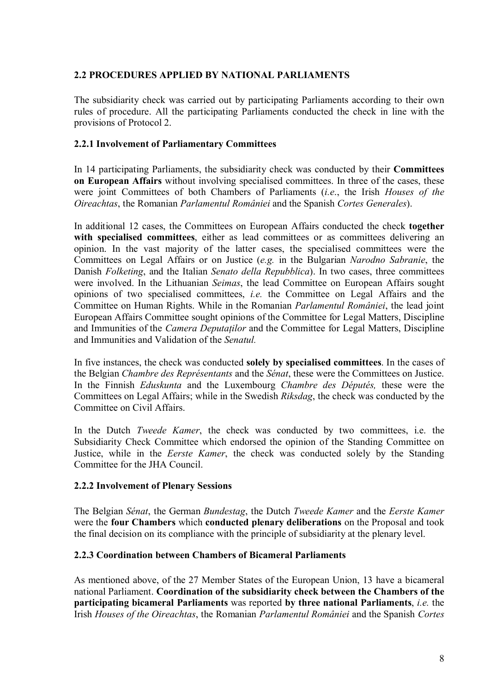## <span id="page-7-0"></span>**2.2 PROCEDURES APPLIED BY NATIONAL PARLIAMENTS**

The subsidiarity check was carried out by participating Parliaments according to their own rules of procedure. All the participating Parliaments conducted the check in line with the provisions of Protocol 2.

#### <span id="page-7-1"></span>**2.2.1 Involvement of Parliamentary Committees**

In 14 participating Parliaments, the subsidiarity check was conducted by their **Committees on European Affairs** without involving specialised committees. In three of the cases, these were joint Committees of both Chambers of Parliaments (*i.e*., the Irish *Houses of the Oireachtas*, the Romanian *Parlamentul României* and the Spanish *Cortes Generales*).

In additional 12 cases, the Committees on European Affairs conducted the check **together with specialised committees**, either as lead committees or as committees delivering an opinion. In the vast majority of the latter cases, the specialised committees were the Committees on Legal Affairs or on Justice (*e.g.* in the Bulgarian *Narodno Sabranie*, the Danish *Folketing*, and the Italian *Senato della Repubblica*). In two cases, three committees were involved. In the Lithuanian *Seimas*, the lead Committee on European Affairs sought opinions of two specialised committees, *i.e.* the Committee on Legal Affairs and the Committee on Human Rights. While in the Romanian *Parlamentul României*, the lead joint European Affairs Committee sought opinions of the Committee for Legal Matters, Discipline and Immunities of the *Camera Deputaţilor* and the Committee for Legal Matters, Discipline and Immunities and Validation of the *Senatul.*

In five instances, the check was conducted **solely by specialised committees**. In the cases of the Belgian *Chambre des Représentants* and the *Sénat*, these were the Committees on Justice. In the Finnish *Eduskunta* and the Luxembourg *Chambre des Députés,* these were the Committees on Legal Affairs; while in the Swedish *Riksdag*, the check was conducted by the Committee on Civil Affairs.

In the Dutch *Tweede Kamer*, the check was conducted by two committees, i.e. the Subsidiarity Check Committee which endorsed the opinion of the Standing Committee on Justice, while in the *Eerste Kamer*, the check was conducted solely by the Standing Committee for the JHA Council.

#### <span id="page-7-2"></span>**2.2.2 Involvement of Plenary Sessions**

The Belgian *Sénat*, the German *Bundestag*, the Dutch *Tweede Kamer* and the *Eerste Kamer*  were the **four Chambers** which **conducted plenary deliberations** on the Proposal and took the final decision on its compliance with the principle of subsidiarity at the plenary level.

#### <span id="page-7-3"></span>**2.2.3 Coordination between Chambers of Bicameral Parliaments**

As mentioned above, of the 27 Member States of the European Union, 13 have a bicameral national Parliament. **Coordination of the subsidiarity check between the Chambers of the participating bicameral Parliaments** was reported **by three national Parliaments**, *i.e.* the Irish *Houses of the Oireachtas*, the Romanian *Parlamentul României* and the Spanish *Cortes*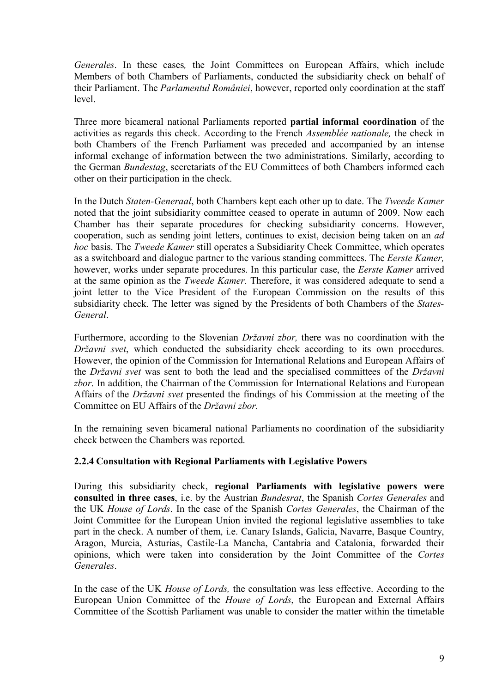*Generales*. In these cases*,* the Joint Committees on European Affairs, which include Members of both Chambers of Parliaments, conducted the subsidiarity check on behalf of their Parliament. The *Parlamentul României*, however, reported only coordination at the staff level.

Three more bicameral national Parliaments reported **partial informal coordination** of the activities as regards this check. According to the French *Assemblée nationale,* the check in both Chambers of the French Parliament was preceded and accompanied by an intense informal exchange of information between the two administrations. Similarly, according to the German *Bundestag*, secretariats of the EU Committees of both Chambers informed each other on their participation in the check.

In the Dutch *Staten-Generaal*, both Chambers kept each other up to date. The *Tweede Kamer* noted that the joint subsidiarity committee ceased to operate in autumn of 2009. Now each Chamber has their separate procedures for checking subsidiarity concerns. However, cooperation, such as sending joint letters, continues to exist, decision being taken on an *ad hoc* basis. The *Tweede Kamer* still operates a Subsidiarity Check Committee, which operates as a switchboard and dialogue partner to the various standing committees. The *Eerste Kamer,* however, works under separate procedures. In this particular case, the *Eerste Kamer* arrived at the same opinion as the *Tweede Kamer*. Therefore, it was considered adequate to send a joint letter to the Vice President of the European Commission on the results of this subsidiarity check. The letter was signed by the Presidents of both Chambers of the *States-General*.

Furthermore, according to the Slovenian *Državni zbor,* there was no coordination with the *Državni svet*, which conducted the subsidiarity check according to its own procedures. However, the opinion of the Commission for International Relations and European Affairs of the *Državni svet* was sent to both the lead and the specialised committees of the *Državni zbor*. In addition, the Chairman of the Commission for International Relations and European Affairs of the *Državni svet* presented the findings of his Commission at the meeting of the Committee on EU Affairs of the *Državni zbor.*

In the remaining seven bicameral national Parliaments no coordination of the subsidiarity check between the Chambers was reported.

#### <span id="page-8-0"></span>**2.2.4 Consultation with Regional Parliaments with Legislative Powers**

During this subsidiarity check, **regional Parliaments with legislative powers were consulted in three cases**, i.e. by the Austrian *Bundesrat*, the Spanish *Cortes Generales* and the UK *House of Lords*. In the case of the Spanish *Cortes Generales*, the Chairman of the Joint Committee for the European Union invited the regional legislative assemblies to take part in the check. A number of them, i.e. Canary Islands, Galicia, Navarre, Basque Country, Aragon, Murcia, Asturias, Castile-La Mancha, Cantabria and Catalonia, forwarded their opinions, which were taken into consideration by the Joint Committee of the *Cortes Generales*.

In the case of the UK *House of Lords,* the consultation was less effective. According to the European Union Committee of the *House of Lords*, the European and External Affairs Committee of the Scottish Parliament was unable to consider the matter within the timetable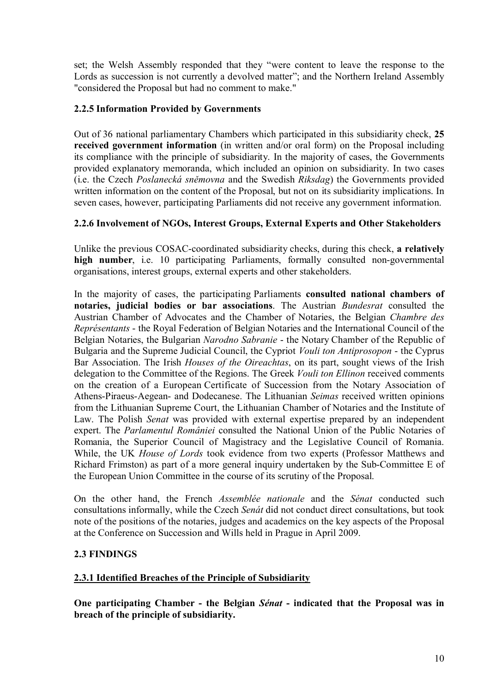set; the Welsh Assembly responded that they "were content to leave the response to the Lords as succession is not currently a devolved matter"; and the Northern Ireland Assembly "considered the Proposal but had no comment to make."

#### <span id="page-9-0"></span>**2.2.5 Information Provided by Governments**

Out of 36 national parliamentary Chambers which participated in this subsidiarity check, **25 received government information** (in written and/or oral form) on the Proposal including its compliance with the principle of subsidiarity. In the majority of cases, the Governments provided explanatory memoranda, which included an opinion on subsidiarity. In two cases (i.e. the Czech *Poslanecká sněmovna* and the Swedish *Riksdag*) the Governments provided written information on the content of the Proposal, but not on its subsidiarity implications. In seven cases, however, participating Parliaments did not receive any government information.

## <span id="page-9-1"></span>**2.2.6 Involvement of NGOs, Interest Groups, External Experts and Other Stakeholders**

Unlike the previous COSAC-coordinated subsidiarity checks, during this check, **a relatively high number**, i.e. 10 participating Parliaments, formally consulted non-governmental organisations, interest groups, external experts and other stakeholders.

In the majority of cases, the participating Parliaments **consulted national chambers of notaries, judicial bodies or bar associations**. The Austrian *Bundesrat* consulted the Austrian Chamber of Advocates and the Chamber of Notaries, the Belgian *Chambre des Représentants* - the Royal Federation of Belgian Notaries and the International Council of the Belgian Notaries, the Bulgarian *Narodno Sabranie* - the Notary Chamber of the Republic of Bulgaria and the Supreme Judicial Council, the Cypriot *Vouli ton Antiprosopon* - the Cyprus Bar Association. The Irish *Houses of the Oireachtas*, on its part, sought views of the Irish delegation to the Committee of the Regions. The Greek *Vouli ton Ellinon* received comments on the creation of a European Certificate of Succession from the Notary Association of Athens-Piraeus-Aegean- and Dodecanese. The Lithuanian *Seimas* received written opinions from the Lithuanian Supreme Court, the Lithuanian Chamber of Notaries and the Institute of Law. The Polish *Senat* was provided with external expertise prepared by an independent expert. The *Parlamentul României* consulted the National Union of the Public Notaries of Romania, the Superior Council of Magistracy and the Legislative Council of Romania. While, the UK *House of Lords* took evidence from two experts (Professor Matthews and Richard Frimston) as part of a more general inquiry undertaken by the Sub-Committee E of the European Union Committee in the course of its scrutiny of the Proposal.

On the other hand, the French *Assemblée nationale* and the *Sénat* conducted such consultations informally, while the Czech *Senát* did not conduct direct consultations, but took note of the positions of the notaries, judges and academics on the key aspects of the Proposal at the Conference on Succession and Wills held in Prague in April 2009.

## <span id="page-9-2"></span>**2.3 FINDINGS**

#### <span id="page-9-3"></span>**2.3.1 Identified Breaches of the Principle of Subsidiarity**

**One participating Chamber - the Belgian** *Sénat* **- indicated that the Proposal was in breach of the principle of subsidiarity.**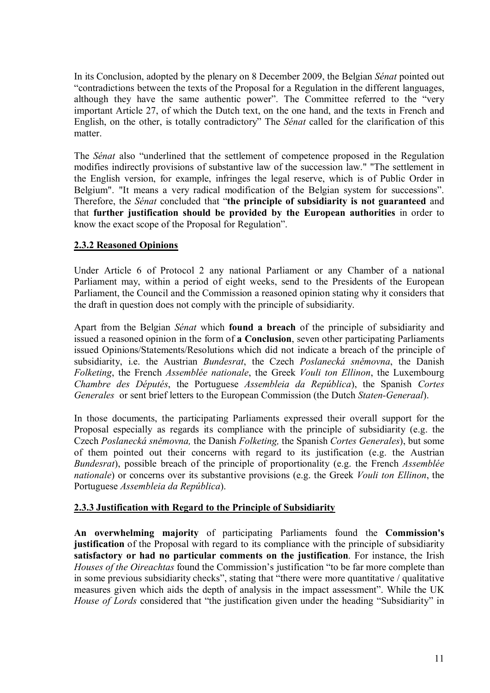In its Conclusion, adopted by the plenary on 8 December 2009, the Belgian *Sénat* pointed out "contradictions between the texts of the Proposal for a Regulation in the different languages, although they have the same authentic power". The Committee referred to the "very important Article 27, of which the Dutch text, on the one hand, and the texts in French and English, on the other, is totally contradictory" The *Sénat* called for the clarification of this matter.

The *Sénat* also "underlined that the settlement of competence proposed in the Regulation modifies indirectly provisions of substantive law of the succession law." "The settlement in the English version, for example, infringes the legal reserve, which is of Public Order in Belgium". "It means a very radical modification of the Belgian system for successions". Therefore, the *Sénat* concluded that "**the principle of subsidiarity is not guaranteed** and that **further justification should be provided by the European authorities** in order to know the exact scope of the Proposal for Regulation".

## <span id="page-10-0"></span>**2.3.2 Reasoned Opinions**

Under Article 6 of Protocol 2 any national Parliament or any Chamber of a national Parliament may, within a period of eight weeks, send to the Presidents of the European Parliament, the Council and the Commission a reasoned opinion stating why it considers that the draft in question does not comply with the principle of subsidiarity.

Apart from the Belgian *Sénat* which **found a breach** of the principle of subsidiarity and issued a reasoned opinion in the form of **a Conclusion**, seven other participating Parliaments issued Opinions/Statements/Resolutions which did not indicate a breach of the principle of subsidiarity, i.e. the Austrian *Bundesrat*, the Czech *Poslanecká sněmovna*, the Danish *Folketing*, the French *Assemblée nationale*, the Greek *Vouli ton Ellinon*, the Luxembourg *Chambre des Députés*, the Portuguese *Assembleia da República*), the Spanish *Cortes Generales* or sent brief letters to the European Commission (the Dutch *Staten-Generaal*).

In those documents, the participating Parliaments expressed their overall support for the Proposal especially as regards its compliance with the principle of subsidiarity (e.g. the Czech *Poslanecká sněmovna,* the Danish *Folketing,* the Spanish *Cortes Generales*), but some of them pointed out their concerns with regard to its justification (e.g. the Austrian *Bundesrat*), possible breach of the principle of proportionality (e.g. the French *Assemblée nationale*) or concerns over its substantive provisions (e.g. the Greek *Vouli ton Ellinon*, the Portuguese *Assembleia da República*).

#### <span id="page-10-1"></span>**2.3.3 Justification with Regard to the Principle of Subsidiarity**

**An overwhelming majority** of participating Parliaments found the **Commission's justification** of the Proposal with regard to its compliance with the principle of subsidiarity **satisfactory or had no particular comments on the justification**. For instance, the Irish *Houses of the Oireachtas* found the Commission's justification "to be far more complete than in some previous subsidiarity checks", stating that "there were more quantitative / qualitative measures given which aids the depth of analysis in the impact assessment". While the UK *House of Lords* considered that "the justification given under the heading "Subsidiarity" in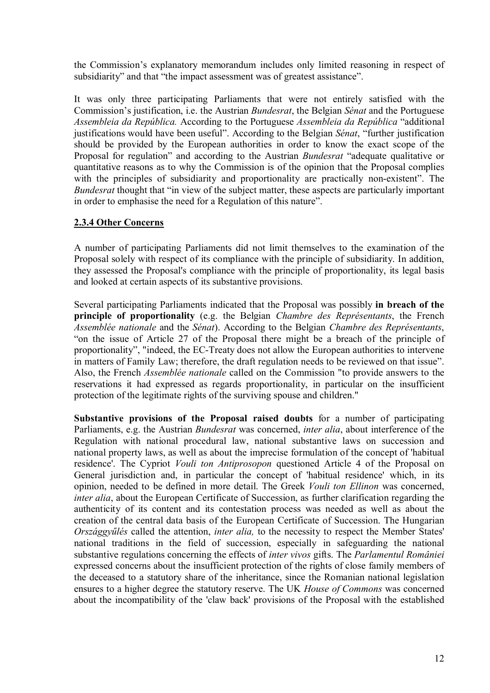the Commission's explanatory memorandum includes only limited reasoning in respect of subsidiarity" and that "the impact assessment was of greatest assistance".

It was only three participating Parliaments that were not entirely satisfied with the Commission's justification, i.e. the Austrian *Bundesrat*, the Belgian *Sénat* and the Portuguese *Assembleia da República.* According to the Portuguese *Assembleia da República* "additional justifications would have been useful". According to the Belgian *Sénat*, "further justification should be provided by the European authorities in order to know the exact scope of the Proposal for regulation" and according to the Austrian *Bundesrat* "adequate qualitative or quantitative reasons as to why the Commission is of the opinion that the Proposal complies with the principles of subsidiarity and proportionality are practically non-existent". The *Bundesrat* thought that "in view of the subject matter, these aspects are particularly important in order to emphasise the need for a Regulation of this nature".

#### <span id="page-11-0"></span>**2.3.4 Other Concerns**

A number of participating Parliaments did not limit themselves to the examination of the Proposal solely with respect of its compliance with the principle of subsidiarity. In addition, they assessed the Proposal's compliance with the principle of proportionality, its legal basis and looked at certain aspects of its substantive provisions.

Several participating Parliaments indicated that the Proposal was possibly **in breach of the principle of proportionality** (e.g. the Belgian *Chambre des Représentants*, the French *Assemblée nationale* and the *Sénat*). According to the Belgian *Chambre des Représentants*, "on the issue of Article 27 of the Proposal there might be a breach of the principle of proportionality", "indeed, the EC-Treaty does not allow the European authorities to intervene in matters of Family Law; therefore, the draft regulation needs to be reviewed on that issue". Also, the French *Assemblée nationale* called on the Commission "to provide answers to the reservations it had expressed as regards proportionality, in particular on the insufficient protection of the legitimate rights of the surviving spouse and children."

**Substantive provisions of the Proposal raised doubts** for a number of participating Parliaments, e.g. the Austrian *Bundesrat* was concerned, *inter alia*, about interference of the Regulation with national procedural law, national substantive laws on succession and national property laws, as well as about the imprecise formulation of the concept of 'habitual residence'. The Cypriot *Vouli ton Antiprosopon* questioned Article 4 of the Proposal on General jurisdiction and, in particular the concept of 'habitual residence' which, in its opinion, needed to be defined in more detail. The Greek *Vouli ton Ellinon* was concerned, *inter alia*, about the European Certificate of Succession, as further clarification regarding the authenticity of its content and its contestation process was needed as well as about the creation of the central data basis of the European Certificate of Succession. The Hungarian *Országgyűlés* called the attention, *inter alia,* to the necessity to respect the Member States' national traditions in the field of succession, especially in safeguarding the national substantive regulations concerning the effects of *inter vivos* gifts. The *Parlamentul României* expressed concerns about the insufficient protection of the rights of close family members of the deceased to a statutory share of the inheritance, since the Romanian national legislation ensures to a higher degree the statutory reserve. The UK *House of Commons* was concerned about the incompatibility of the 'claw back' provisions of the Proposal with the established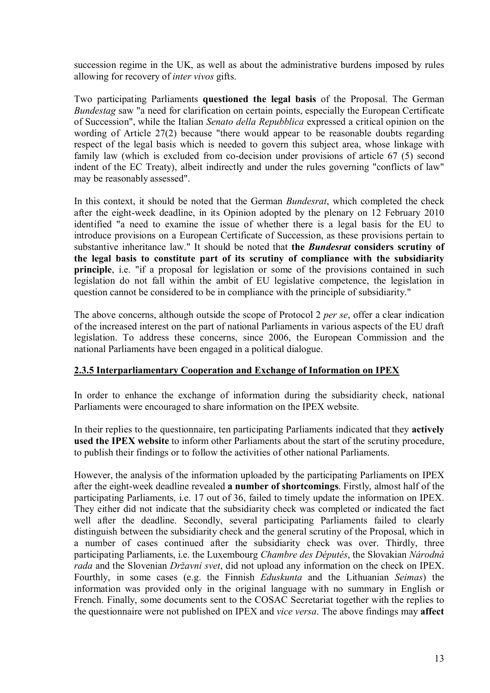succession regime in the UK, as well as about the administrative burdens imposed by rules allowing for recovery of *inter vivos* gifts.

Two participating Parliaments **questioned the legal basis** of the Proposal. The German *Bundestag* saw "a need for clarification on certain points, especially the European Certificate of Succession", while the Italian *Senato della Repubblica* expressed a critical opinion on the wording of Article 27(2) because "there would appear to be reasonable doubts regarding respect of the legal basis which is needed to govern this subject area, whose linkage with family law (which is excluded from co-decision under provisions of article 67 (5) second indent of the EC Treaty), albeit indirectly and under the rules governing "conflicts of law" may be reasonably assessed".

In this context, it should be noted that the German *Bundesrat*, which completed the check after the eight-week deadline, in its Opinion adopted by the plenary on 12 February 2010 identified "a need to examine the issue of whether there is a legal basis for the EU to introduce provisions on a European Certificate of Succession, as these provisions pertain to substantive inheritance law." It should be noted that **the** *Bundesrat* **considers scrutiny of the legal basis to constitute part of its scrutiny of compliance with the subsidiarity principle**, i.e. "if a proposal for legislation or some of the provisions contained in such legislation do not fall within the ambit of EU legislative competence, the legislation in question cannot be considered to be in compliance with the principle of subsidiarity."

The above concerns, although outside the scope of Protocol 2 *per se*, offer a clear indication of the increased interest on the part of national Parliaments in various aspects of the EU draft legislation. To address these concerns, since 2006, the European Commission and the national Parliaments have been engaged in a political dialogue.

#### <span id="page-12-0"></span>**2.3.5 Interparliamentary Cooperation and Exchange of Information on IPEX**

In order to enhance the exchange of information during the subsidiarity check, national Parliaments were encouraged to share information on the IPEX website.

In their replies to the questionnaire, ten participating Parliaments indicated that they **actively used the IPEX website** to inform other Parliaments about the start of the scrutiny procedure, to publish their findings or to follow the activities of other national Parliaments.

However, the analysis of the information uploaded by the participating Parliaments on IPEX after the eight-week deadline revealed **a number of shortcomings**. Firstly, almost half of the participating Parliaments, i.e. 17 out of 36, failed to timely update the information on IPEX. They either did not indicate that the subsidiarity check was completed or indicated the fact well after the deadline. Secondly, several participating Parliaments failed to clearly distinguish between the subsidiarity check and the general scrutiny of the Proposal, which in a number of cases continued after the subsidiarity check was over. Thirdly, three participating Parliaments, i.e. the Luxembourg *Chambre des Députés*, the Slovakian *Národná rada* and the Slovenian *Državni svet*, did not upload any information on the check on IPEX. Fourthly, in some cases (e.g. the Finnish *Eduskunta* and the Lithuanian *Seimas*) the information was provided only in the original language with no summary in English or French. Finally, some documents sent to the COSAC Secretariat together with the replies to the questionnaire were not published on IPEX and *vice versa*. The above findings may **affect**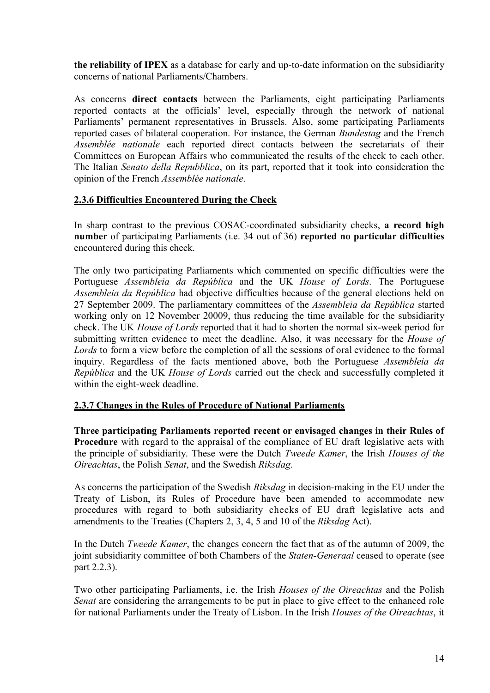**the reliability of IPEX** as a database for early and up-to-date information on the subsidiarity concerns of national Parliaments/Chambers.

As concerns **direct contacts** between the Parliaments, eight participating Parliaments reported contacts at the officials' level, especially through the network of national Parliaments' permanent representatives in Brussels. Also, some participating Parliaments reported cases of bilateral cooperation. For instance, the German *Bundestag* and the French *Assemblée nationale* each reported direct contacts between the secretariats of their Committees on European Affairs who communicated the results of the check to each other. The Italian *Senato della Repubblica*, on its part, reported that it took into consideration the opinion of the French *Assemblée nationale*.

## <span id="page-13-0"></span>**2.3.6 Difficulties Encountered During the Check**

In sharp contrast to the previous COSAC-coordinated subsidiarity checks, **a record high number** of participating Parliaments (i.e. 34 out of 36) **reported no particular difficulties** encountered during this check.

The only two participating Parliaments which commented on specific difficulties were the Portuguese *Assembleia da República* and the UK *House of Lords*. The Portuguese *Assembleia da República* had objective difficulties because of the general elections held on 27 September 2009. The parliamentary committees of the *Assembleia da República* started working only on 12 November 20009, thus reducing the time available for the subsidiarity check. The UK *House of Lords* reported that it had to shorten the normal six-week period for submitting written evidence to meet the deadline. Also, it was necessary for the *House of Lords* to form a view before the completion of all the sessions of oral evidence to the formal inquiry. Regardless of the facts mentioned above, both the Portuguese *Assembleia da República* and the UK *House of Lords* carried out the check and successfully completed it within the eight-week deadline.

#### <span id="page-13-1"></span>**2.3.7 Changes in the Rules of Procedure of National Parliaments**

**Three participating Parliaments reported recent or envisaged changes in their Rules of Procedure** with regard to the appraisal of the compliance of EU draft legislative acts with the principle of subsidiarity. These were the Dutch *Tweede Kamer*, the Irish *Houses of the Oireachtas*, the Polish *Senat*, and the Swedish *Riksdag*.

As concerns the participation of the Swedish *Riksdag* in decision-making in the EU under the Treaty of Lisbon, its Rules of Procedure have been amended to accommodate new procedures with regard to both subsidiarity checks of EU draft legislative acts and amendments to the Treaties (Chapters 2, 3, 4, 5 and 10 of the *Riksdag* Act).

In the Dutch *Tweede Kamer*, the changes concern the fact that as of the autumn of 2009, the joint subsidiarity committee of both Chambers of the *Staten-Generaal* ceased to operate (see part 2.2.3).

Two other participating Parliaments, i.e. the Irish *Houses of the Oireachtas* and the Polish *Senat* are considering the arrangements to be put in place to give effect to the enhanced role for national Parliaments under the Treaty of Lisbon. In the Irish *Houses of the Oireachtas*, it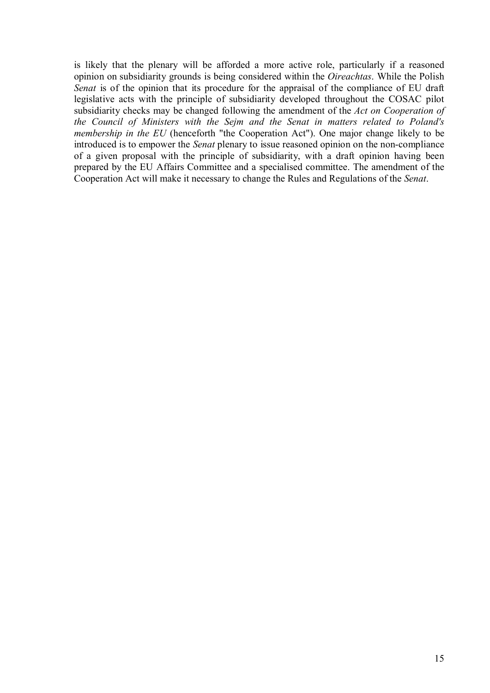is likely that the plenary will be afforded a more active role, particularly if a reasoned opinion on subsidiarity grounds is being considered within the *Oireachtas*. While the Polish *Senat* is of the opinion that its procedure for the appraisal of the compliance of EU draft legislative acts with the principle of subsidiarity developed throughout the COSAC pilot subsidiarity checks may be changed following the amendment of the *Act on Cooperation of the Council of Ministers with the Sejm and the Senat in matters related to Poland's membership in the EU* (henceforth "the Cooperation Act"). One major change likely to be introduced is to empower the *Senat* plenary to issue reasoned opinion on the non-compliance of a given proposal with the principle of subsidiarity, with a draft opinion having been prepared by the EU Affairs Committee and a specialised committee. The amendment of the Cooperation Act will make it necessary to change the Rules and Regulations of the *Senat*.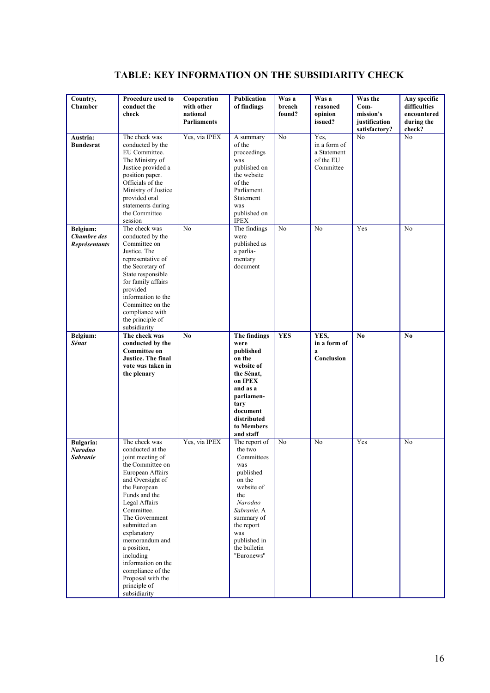<span id="page-15-0"></span>

| Country,<br><b>Chamber</b>                            | <b>Procedure used to</b><br>conduct the<br>check                                                                                                                                                                                                                                                                                                                                 | Cooperation<br>with other<br>national<br><b>Parliaments</b> | Publication<br>of findings                                                                                                                                                                           | Was a<br>breach<br>found? | Was a<br>reasoned<br>opinion<br>issued?                       | Was the<br>Com-<br>mission's<br>justification<br>satisfactory? | Any specific<br>difficulties<br>encountered<br>during the<br>check? |
|-------------------------------------------------------|----------------------------------------------------------------------------------------------------------------------------------------------------------------------------------------------------------------------------------------------------------------------------------------------------------------------------------------------------------------------------------|-------------------------------------------------------------|------------------------------------------------------------------------------------------------------------------------------------------------------------------------------------------------------|---------------------------|---------------------------------------------------------------|----------------------------------------------------------------|---------------------------------------------------------------------|
| Austria:<br><b>Bundesrat</b>                          | The check was<br>conducted by the<br>EU Committee.<br>The Ministry of<br>Justice provided a<br>position paper.<br>Officials of the<br>Ministry of Justice<br>provided oral<br>statements during<br>the Committee<br>session                                                                                                                                                      | Yes, via IPEX                                               | A summary<br>of the<br>proceedings<br>was<br>published on<br>the website<br>of the<br>Parliament.<br>Statement<br>was<br>published on<br><b>IPEX</b>                                                 | $\overline{No}$           | Yes,<br>in a form of<br>a Statement<br>of the EU<br>Committee | N <sub>0</sub>                                                 | N <sub>0</sub>                                                      |
| Belgium:<br>Chambre des<br><b>Représentants</b>       | The check was<br>conducted by the<br>Committee on<br>Justice. The<br>representative of<br>the Secretary of<br>State responsible<br>for family affairs<br>provided<br>information to the<br>Committee on the<br>compliance with<br>the principle of<br>subsidiarity                                                                                                               | N <sub>0</sub>                                              | The findings<br>were<br>published as<br>a parlia-<br>mentary<br>document                                                                                                                             | $\overline{No}$           | N <sub>0</sub>                                                | Yes                                                            | No                                                                  |
| Belgium:<br>Sénat                                     | The check was<br>conducted by the<br><b>Committee on</b><br><b>Justice. The final</b><br>vote was taken in<br>the plenary                                                                                                                                                                                                                                                        | No                                                          | The findings<br>were<br>published<br>on the<br>website of<br>the Sénat,<br>on IPEX<br>and as a<br>parliamen-<br>tary<br>document<br>distributed<br>to Members<br>and staff                           | <b>YES</b>                | YES,<br>in a form of<br>a<br>Conclusion                       | No                                                             | N <sub>0</sub>                                                      |
| <b>Bulgaria:</b><br><b>Narodno</b><br><b>Sabranie</b> | The check was<br>conducted at the<br>joint meeting of<br>the Committee on<br>European Affairs<br>and Oversight of<br>the European<br>Funds and the<br>Legal Affairs<br>Committee.<br>The Government<br>submitted an<br>explanatory<br>memorandum and<br>a position.<br>including<br>information on the<br>compliance of the<br>Proposal with the<br>principle of<br>subsidiarity | Yes, via IPEX                                               | The report of<br>the two<br>Committees<br>was<br>published<br>on the<br>website of<br>the<br>Narodno<br>Sabranie. A<br>summary of<br>the report<br>was<br>published in<br>the bulletin<br>"Euronews" | $\overline{No}$           | N <sub>0</sub>                                                | Yes                                                            | N <sub>0</sub>                                                      |

## **TABLE: KEY INFORMATION ON THE SUBSIDIARITY CHECK**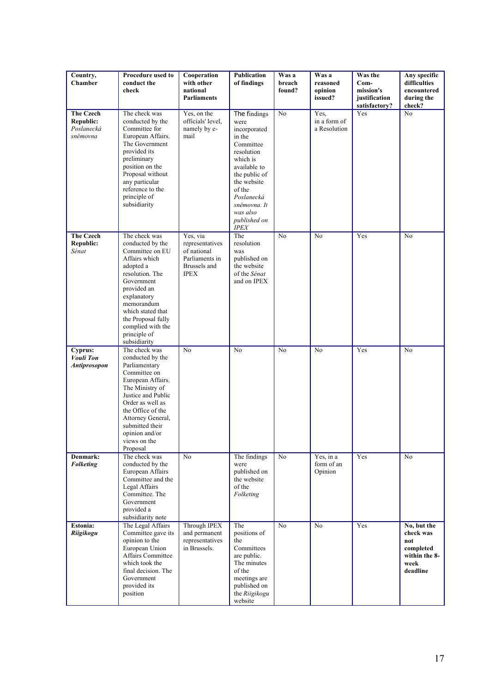| Country,<br>Chamber                                            | Procedure used to<br>conduct the<br>check                                                                                                                                                                                                                       | Cooperation<br>with other<br>national<br><b>Parliaments</b>                                 | Publication<br>of findings                                                                                                                                                                                               | Was a<br>breach<br>found? | Was a<br>reasoned<br>opinion<br>issued? | Was the<br>$Com-$<br>mission's<br>justification<br>satisfactory? | Any specific<br>difficulties<br>encountered<br>during the<br>check?               |
|----------------------------------------------------------------|-----------------------------------------------------------------------------------------------------------------------------------------------------------------------------------------------------------------------------------------------------------------|---------------------------------------------------------------------------------------------|--------------------------------------------------------------------------------------------------------------------------------------------------------------------------------------------------------------------------|---------------------------|-----------------------------------------|------------------------------------------------------------------|-----------------------------------------------------------------------------------|
| <b>The Czech</b><br><b>Republic:</b><br>Poslanecká<br>sněmovna | The check was<br>conducted by the<br>Committee for<br>European Affairs.<br>The Government<br>provided its<br>preliminary<br>position on the<br>Proposal without<br>any particular<br>reference to the<br>principle of<br>subsidiarity                           | Yes, on the<br>officials' level,<br>namely by e-<br>mail                                    | The findings<br>were<br>incorporated<br>in the<br>Committee<br>resolution<br>which is<br>available to<br>the public of<br>the website<br>of the<br>Poslanecká<br>sněmovna. It<br>was also<br>published on<br>$\it{IPEX}$ | $\overline{No}$           | Yes.<br>in a form of<br>a Resolution    | Yes                                                              | N <sub>0</sub>                                                                    |
| <b>The Czech</b><br>Republic:<br>Sénat                         | The check was<br>conducted by the<br>Committee on EU<br>Affairs which<br>adopted a<br>resolution. The<br>Government<br>provided an<br>explanatory<br>memorandum<br>which stated that<br>the Proposal fully<br>complied with the<br>principle of<br>subsidiarity | Yes, via<br>representatives<br>of national<br>Parliaments in<br>Brussels and<br><b>IPEX</b> | The<br>resolution<br>was<br>published on<br>the website<br>of the Sénat<br>and on IPEX                                                                                                                                   | No                        | N <sub>0</sub>                          | Yes                                                              | N <sub>0</sub>                                                                    |
| Cyprus:<br>Vouli Ton<br><b>Antiprosopon</b>                    | The check was<br>conducted by the<br>Parliamentary<br>Committee on<br>European Affairs.<br>The Ministry of<br>Justice and Public<br>Order as well as<br>the Office of the<br>Attorney General,<br>submitted their<br>opinion and/or<br>views on the<br>Proposal | No                                                                                          | No                                                                                                                                                                                                                       | No                        | No                                      | Yes                                                              | No                                                                                |
| Denmark:<br><b>Folketing</b>                                   | The check was<br>conducted by the<br>European Affairs<br>Committee and the<br>Legal Affairs<br>Committee. The<br>Government<br>provided a<br>subsidiarity note                                                                                                  | $\overline{No}$                                                                             | The findings<br>were<br>published on<br>the website<br>of the<br>Folketing                                                                                                                                               | $\overline{No}$           | Yes, in a<br>form of an<br>Opinion      | Yes                                                              | N <sub>0</sub>                                                                    |
| Estonia:<br><b>Riigikogu</b>                                   | The Legal Affairs<br>Committee gave its<br>opinion to the<br>European Union<br>Affairs Committee<br>which took the<br>final decision. The<br>Government<br>provided its<br>position                                                                             | <b>Through IPEX</b><br>and permanent<br>representatives<br>in Brussels.                     | The<br>positions of<br>the<br>Committees<br>are public.<br>The minutes<br>of the<br>meetings are<br>published on<br>the Riigikogu<br>website                                                                             | $\overline{No}$           | $\overline{No}$                         | Yes                                                              | No, but the<br>check was<br>not<br>completed<br>within the 8-<br>week<br>deadline |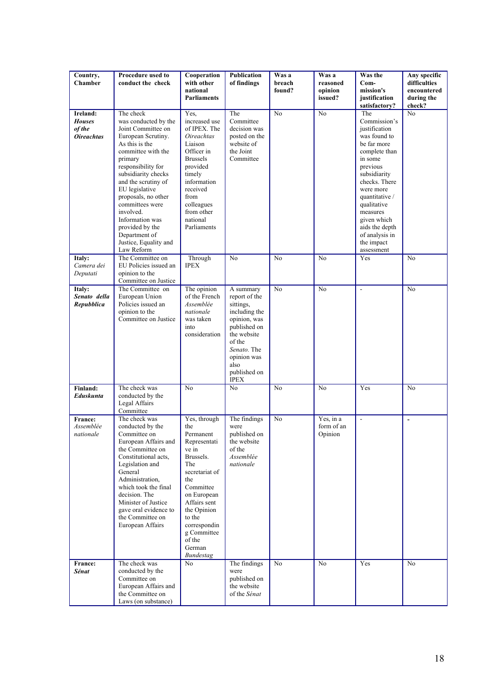| Country,<br>Chamber                                      | Procedure used to<br>conduct the check                                                                                                                                                                                                                                                                                                                                      | Cooperation<br>with other<br>national<br><b>Parliaments</b>                                                                                                                                                                                 | Publication<br>of findings                                                                                                                                                             | Was a<br>breach<br>found? | Was a<br>reasoned<br>opinion<br>issued? | Was the<br>$Com-$<br>mission's<br>justification                                                                                                                                                                                                                                                        | Any specific<br>difficulties<br>encountered<br>during the |
|----------------------------------------------------------|-----------------------------------------------------------------------------------------------------------------------------------------------------------------------------------------------------------------------------------------------------------------------------------------------------------------------------------------------------------------------------|---------------------------------------------------------------------------------------------------------------------------------------------------------------------------------------------------------------------------------------------|----------------------------------------------------------------------------------------------------------------------------------------------------------------------------------------|---------------------------|-----------------------------------------|--------------------------------------------------------------------------------------------------------------------------------------------------------------------------------------------------------------------------------------------------------------------------------------------------------|-----------------------------------------------------------|
| Ireland:<br><b>Houses</b><br>of the<br><b>Oireachtas</b> | The check<br>was conducted by the<br>Joint Committee on<br>European Scrutiny.<br>As this is the<br>committee with the<br>primary<br>responsibility for<br>subsidiarity checks<br>and the scrutiny of<br>EU legislative<br>proposals, no other<br>committees were<br>involved.<br>Information was<br>provided by the<br>Department of<br>Justice, Equality and<br>Law Reform | Yes,<br>increased use<br>of IPEX. The<br><b>Oireachtas</b><br>Liaison<br>Officer in<br><b>Brussels</b><br>provided<br>timely<br>information<br>received<br>from<br>colleagues<br>from other<br>national<br>Parliaments                      | The<br>Committee<br>decision was<br>posted on the<br>website of<br>the Joint<br>Committee                                                                                              | $\overline{No}$           | $\overline{No}$                         | satisfactory?<br>The<br>Commission's<br>justification<br>was found to<br>be far more<br>complete than<br>in some<br>previous<br>subsidiarity<br>checks. There<br>were more<br>quantitative /<br>qualitative<br>measures<br>given which<br>aids the depth<br>of analysis in<br>the impact<br>assessment | check?<br>No                                              |
| Italy:<br>Camera dei<br>Deputati                         | The Committee on<br>EU Policies issued an<br>opinion to the<br>Committee on Justice                                                                                                                                                                                                                                                                                         | Through<br><b>IPEX</b>                                                                                                                                                                                                                      | N <sub>0</sub>                                                                                                                                                                         | N <sub>0</sub>            | No                                      | Yes                                                                                                                                                                                                                                                                                                    | N <sub>0</sub>                                            |
| Italy:<br>Senato della<br>Repubblica                     | The Committee on<br>European Union<br>Policies issued an<br>opinion to the<br>Committee on Justice                                                                                                                                                                                                                                                                          | The opinion<br>of the French<br>Assemblée<br>nationale<br>was taken<br>into<br>consideration                                                                                                                                                | A summary<br>report of the<br>sittings,<br>including the<br>opinion, was<br>published on<br>the website<br>of the<br>Senato. The<br>opinion was<br>also<br>published on<br><b>IPEX</b> | N <sub>0</sub>            | No                                      | $\overline{\phantom{a}}$                                                                                                                                                                                                                                                                               | N <sub>0</sub>                                            |
| Finland:<br>Eduskunta                                    | The check was<br>conducted by the<br>Legal Affairs<br>Committee                                                                                                                                                                                                                                                                                                             | N <sub>0</sub>                                                                                                                                                                                                                              | No                                                                                                                                                                                     | No                        | No                                      | Yes                                                                                                                                                                                                                                                                                                    | N <sub>o</sub>                                            |
| <b>France:</b><br>Assemblée<br>nationale                 | The check was<br>conducted by the<br>Committee on<br>European Affairs and<br>the Committee on<br>Constitutional acts,<br>Legislation and<br>General<br>Administration,<br>which took the final<br>decision. The<br>Minister of Justice<br>gave oral evidence to<br>the Committee on<br>European Affairs                                                                     | Yes, through<br>the<br>Permanent<br>Representati<br>ve in<br>Brussels.<br>The<br>secretariat of<br>the<br>Committee<br>on European<br>Affairs sent<br>the Opinion<br>to the<br>correspondin<br>g Committee<br>of the<br>German<br>Bundestag | The findings<br>were<br>published on<br>the website<br>of the<br>Assemblée<br>nationale                                                                                                | No                        | Yes, in a<br>form of an<br>Opinion      | $\overline{\phantom{a}}$                                                                                                                                                                                                                                                                               | $\blacksquare$                                            |
| France:<br>Sénat                                         | The check was<br>conducted by the<br>Committee on<br>European Affairs and<br>the Committee on<br>Laws (on substance)                                                                                                                                                                                                                                                        | No                                                                                                                                                                                                                                          | The findings<br>were<br>published on<br>the website<br>of the Sénat                                                                                                                    | $\overline{No}$           | No                                      | Yes                                                                                                                                                                                                                                                                                                    | No                                                        |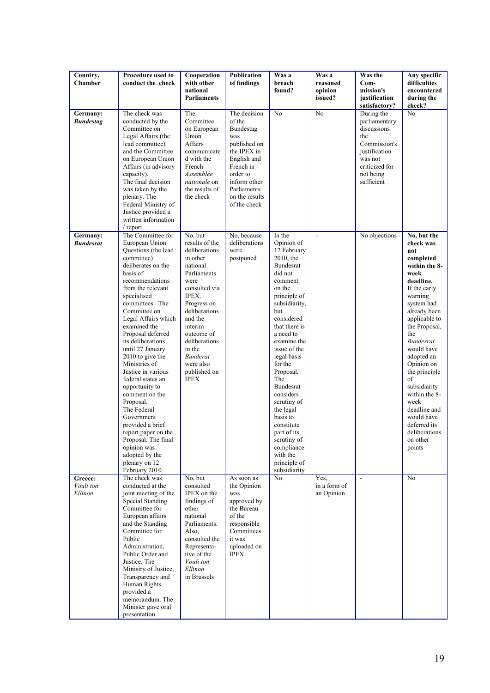| Country,<br>Chamber             | Procedure used to<br>conduct the check                                                                                                                                                                                                                                                                                                                                                                                                                                                                                                                                                                         | Cooperation<br>with other<br>national<br><b>Parliaments</b>                                                                                                                                                                                                                       | Publication<br>of findings                                                                                                                                                         | Was a<br>breach<br>found?                                                                                                                                                                                                                                                                                                                                                                                                                            | Was a<br>reasoned<br>opinion<br>issued? | Was the<br>$Com-$<br>mission's<br>justification                                                                                                             | Any specific<br>difficulties<br>encountered<br>during the                                                                                                                                                                                                                                                                                                                                               |
|---------------------------------|----------------------------------------------------------------------------------------------------------------------------------------------------------------------------------------------------------------------------------------------------------------------------------------------------------------------------------------------------------------------------------------------------------------------------------------------------------------------------------------------------------------------------------------------------------------------------------------------------------------|-----------------------------------------------------------------------------------------------------------------------------------------------------------------------------------------------------------------------------------------------------------------------------------|------------------------------------------------------------------------------------------------------------------------------------------------------------------------------------|------------------------------------------------------------------------------------------------------------------------------------------------------------------------------------------------------------------------------------------------------------------------------------------------------------------------------------------------------------------------------------------------------------------------------------------------------|-----------------------------------------|-------------------------------------------------------------------------------------------------------------------------------------------------------------|---------------------------------------------------------------------------------------------------------------------------------------------------------------------------------------------------------------------------------------------------------------------------------------------------------------------------------------------------------------------------------------------------------|
| Germany:<br><b>Bundestag</b>    | The check was<br>conducted by the<br>Committee on<br>Legal Affairs (the<br>lead committee)<br>and the Committee<br>on European Union<br>Affairs (in advisory<br>capacity).<br>The final decision<br>was taken by the<br>plenary. The<br>Federal Ministry of<br>Justice provided a<br>written information<br>/ report                                                                                                                                                                                                                                                                                           | The<br>Committee<br>on European<br>Union<br>Affairs<br>communicate<br>d with the<br>French<br>Assemblée<br>nationale on<br>the results of<br>the check                                                                                                                            | The decision<br>of the<br>Bundestag<br>was<br>published on<br>the IPEX in<br>English and<br>French in<br>order to<br>inform other<br>Parliaments<br>on the results<br>of the check | $\overline{No}$                                                                                                                                                                                                                                                                                                                                                                                                                                      | No                                      | satisfactory?<br>During the<br>parliamentary<br>discussions<br>the<br>Commission's<br>justification<br>was not<br>criticized for<br>not being<br>sufficient | check?<br>No                                                                                                                                                                                                                                                                                                                                                                                            |
| Germany:<br><b>Bundesrat</b>    | The Committee for<br>European Union<br>Questions (the lead<br>committee)<br>deliberates on the<br>basis of<br>recommendations<br>from the relevant<br>specialised<br>committees. The<br>Committee on<br>Legal Affairs which<br>examined the<br>Proposal deferred<br>its deliberations<br>until 27 January<br>$2010$ to give the<br>Ministries of<br>Justice in various<br>federal states an<br>opportunity to<br>comment on the<br>Proposal.<br>The Federal<br>Government<br>provided a brief<br>report paper on the<br>Proposal. The final<br>opinion was<br>adopted by the<br>plenary on 12<br>February 2010 | No, but<br>results of the<br>deliberations<br>in other<br>national<br>Parliaments<br>were<br>consulted via<br>IPEX.<br>Progress on<br>deliberations<br>and the<br>interim<br>outcome of<br>deliberations<br>in the<br><b>Bunderat</b><br>were also<br>published on<br><b>IPEX</b> | No, because<br>deliberations<br>were<br>postponed                                                                                                                                  | In the<br>Opinion of<br>12 February<br>2010, the<br><b>Bundesrat</b><br>did not<br>comment<br>on the<br>principle of<br>subsidiarity,<br>but<br>considered<br>that there is<br>a need to<br>examine the<br>issue of the<br>legal basis<br>for the<br>Proposal.<br>The<br><b>Bundesrat</b><br>considers<br>scrutiny of<br>the legal<br>basis to<br>constitute<br>part of its<br>scrutiny of<br>compliance<br>with the<br>principle of<br>subsidiarity | ÷,                                      | No objections                                                                                                                                               | No, but the<br>check was<br>not<br>completed<br>within the 8-<br>week<br>deadline.<br>If the early<br>warning<br>system had<br>already been<br>applicable to<br>the Proposal,<br>the<br><b>Bundesrat</b><br>would have<br>adopted an<br>Opinion on<br>the principle<br>οf<br>subsidiarity<br>within the 8-<br>week<br>deadline and<br>would have<br>deferred its<br>deliberations<br>on other<br>points |
| Greece:<br>Vouli ton<br>Ellinon | The check was<br>conducted at the<br>joint meeting of the<br><b>Special Standing</b><br>Committee for<br>European affairs<br>and the Standing<br>Committee for<br>Public<br>Administration,<br>Public Order and<br>Justice. The<br>Ministry of Justice,<br>Transparency and<br>Human Rights<br>provided a<br>memorandum. The<br>Minister gave oral<br>presentation                                                                                                                                                                                                                                             | No, but<br>consulted<br>IPEX on the<br>findings of<br>other<br>national<br>Parliaments.<br>Also,<br>consulted the<br>Representa-<br>tive of the<br>Vouli ton<br>Ellinon<br>in Brussels                                                                                            | As soon as<br>the Opinion<br>was<br>approved by<br>the Bureau<br>of the<br>responsible<br>Committees<br>it was<br>uploaded on<br><b>IPEX</b>                                       | N <sub>0</sub>                                                                                                                                                                                                                                                                                                                                                                                                                                       | Yes,<br>in a form of<br>an Opinion      | $\blacksquare$                                                                                                                                              | No                                                                                                                                                                                                                                                                                                                                                                                                      |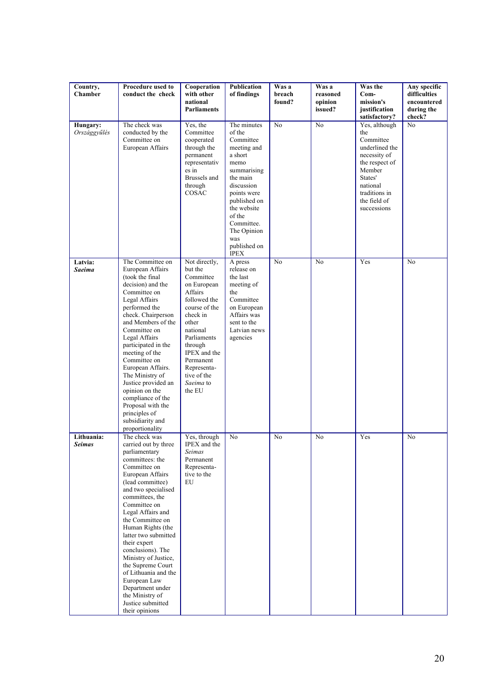| Country,<br>Chamber         | Procedure used to<br>conduct the check                                                                                                                                                                                                                                                                                                                                                                                                                                                    | Cooperation<br>with other<br>national<br><b>Parliaments</b>                                                                                                                                                                                   | Publication<br>of findings                                                                                                                                                                                                               | Was a<br>breach<br>found? | Was a<br>reasoned<br>opinion<br>issued? | Was the<br>Com-<br>mission's<br>justification<br>satisfactory?                                                                                                         | Any specific<br>difficulties<br>encountered<br>during the<br>check? |
|-----------------------------|-------------------------------------------------------------------------------------------------------------------------------------------------------------------------------------------------------------------------------------------------------------------------------------------------------------------------------------------------------------------------------------------------------------------------------------------------------------------------------------------|-----------------------------------------------------------------------------------------------------------------------------------------------------------------------------------------------------------------------------------------------|------------------------------------------------------------------------------------------------------------------------------------------------------------------------------------------------------------------------------------------|---------------------------|-----------------------------------------|------------------------------------------------------------------------------------------------------------------------------------------------------------------------|---------------------------------------------------------------------|
| Hungary:<br>Országgyűlés    | The check was<br>conducted by the<br>Committee on<br>European Affairs                                                                                                                                                                                                                                                                                                                                                                                                                     | Yes, the<br>Committee<br>cooperated<br>through the<br>permanent<br>representativ<br>es in<br>Brussels and<br>through<br>COSAC                                                                                                                 | The minutes<br>of the<br>Committee<br>meeting and<br>a short<br>memo<br>summarising<br>the main<br>discussion<br>points were<br>published on<br>the website<br>of the<br>Committee.<br>The Opinion<br>was<br>published on<br><b>IPEX</b> | $\overline{No}$           | No                                      | Yes, although<br>the<br>Committee<br>underlined the<br>necessity of<br>the respect of<br>Member<br>States'<br>national<br>traditions in<br>the field of<br>successions | No                                                                  |
| Latvia:<br><b>Saeima</b>    | The Committee on<br>European Affairs<br>(took the final<br>decision) and the<br>Committee on<br>Legal Affairs<br>performed the<br>check. Chairperson<br>and Members of the<br>Committee on<br>Legal Affairs<br>participated in the<br>meeting of the<br>Committee on<br>European Affairs.<br>The Ministry of<br>Justice provided an<br>opinion on the<br>compliance of the<br>Proposal with the<br>principles of<br>subsidiarity and<br>proportionality                                   | Not directly,<br>but the<br>Committee<br>on European<br>Affairs<br>followed the<br>course of the<br>check in<br>other<br>national<br>Parliaments<br>through<br>IPEX and the<br>Permanent<br>Representa-<br>tive of the<br>Saeima to<br>the EU | A press<br>release on<br>the last<br>meeting of<br>the<br>Committee<br>on European<br>Affairs was<br>sent to the<br>Latvian news<br>agencies                                                                                             | No                        | No                                      | Yes                                                                                                                                                                    | $\overline{No}$                                                     |
| Lithuania:<br><b>Seimas</b> | The check was<br>carried out by three<br>parliamentary<br>committees: the<br>Committee on<br>European Affairs<br>(lead committee)<br>and two specialised<br>committees, the<br>Committee on<br>Legal Affairs and<br>the Committee on<br>Human Rights (the<br>latter two submitted<br>their expert<br>conclusions). The<br>Ministry of Justice,<br>the Supreme Court<br>of Lithuania and the<br>European Law<br>Department under<br>the Ministry of<br>Justice submitted<br>their opinions | Yes, through<br>IPEX and the<br>Seimas<br>Permanent<br>Representa-<br>tive to the<br>EU                                                                                                                                                       | No                                                                                                                                                                                                                                       | No                        | No                                      | Yes                                                                                                                                                                    | No                                                                  |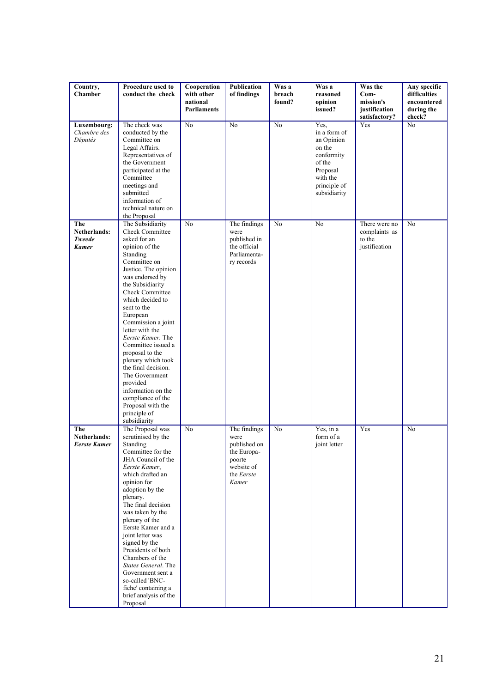| Country,<br>Chamber                    | Procedure used to<br>conduct the check                                                                                                                                                                                                                                                                                                                                                                                                                                                                                             | Cooperation<br>with other<br>national<br><b>Parliaments</b> | Publication<br>of findings                                                                         | Was a<br>breach<br>found? | Was a<br>reasoned<br>opinion<br>issued?                                                                                      | Was the<br>Com-<br>mission's<br>justification<br>satisfactory? | Any specific<br>difficulties<br>encountered<br>during the<br>check? |
|----------------------------------------|------------------------------------------------------------------------------------------------------------------------------------------------------------------------------------------------------------------------------------------------------------------------------------------------------------------------------------------------------------------------------------------------------------------------------------------------------------------------------------------------------------------------------------|-------------------------------------------------------------|----------------------------------------------------------------------------------------------------|---------------------------|------------------------------------------------------------------------------------------------------------------------------|----------------------------------------------------------------|---------------------------------------------------------------------|
| Luxembourg:<br>Chambre des<br>Députés  | The check was<br>conducted by the<br>Committee on<br>Legal Affairs.<br>Representatives of<br>the Government<br>participated at the<br>Committee<br>meetings and<br>submitted<br>information of<br>technical nature on<br>the Proposal                                                                                                                                                                                                                                                                                              | No                                                          | $\overline{No}$                                                                                    | $\overline{No}$           | Yes,<br>in a form of<br>an Opinion<br>on the<br>conformity<br>of the<br>Proposal<br>with the<br>principle of<br>subsidiarity | Yes                                                            | $\overline{No}$                                                     |
| The<br>Netherlands:<br>Tweede<br>Kamer | The Subsidiarity<br><b>Check Committee</b><br>asked for an<br>opinion of the<br>Standing<br>Committee on<br>Justice. The opinion<br>was endorsed by<br>the Subsidiarity<br><b>Check Committee</b><br>which decided to<br>sent to the<br>European<br>Commission a joint<br>letter with the<br>Eerste Kamer. The<br>Committee issued a<br>proposal to the<br>plenary which took<br>the final decision.<br>The Government<br>provided<br>information on the<br>compliance of the<br>Proposal with the<br>principle of<br>subsidiarity | No                                                          | The findings<br>were<br>published in<br>the official<br>Parliamenta-<br>ry records                 | No                        | $\overline{No}$                                                                                                              | There were no<br>complaints as<br>to the<br>justification      | $\overline{No}$                                                     |
| The<br>Netherlands:<br>Eerste Kamer    | The Proposal was<br>scrutinised by the<br>Standing<br>Committee for the<br>JHA Council of the<br>Eerste Kamer,<br>which drafted an<br>opinion for<br>adoption by the<br>plenary.<br>The final decision<br>was taken by the<br>plenary of the<br>Eerste Kamer and a<br>joint letter was<br>signed by the<br>Presidents of both<br>Chambers of the<br>States General. The<br>Government sent a<br>so-called 'BNC-<br>fiche' containing a<br>brief analysis of the<br>Proposal                                                        | No                                                          | The findings<br>were<br>published on<br>the Europa-<br>poorte<br>website of<br>the Eerste<br>Kamer | No                        | Yes, in a<br>form of a<br>joint letter                                                                                       | Yes                                                            | No                                                                  |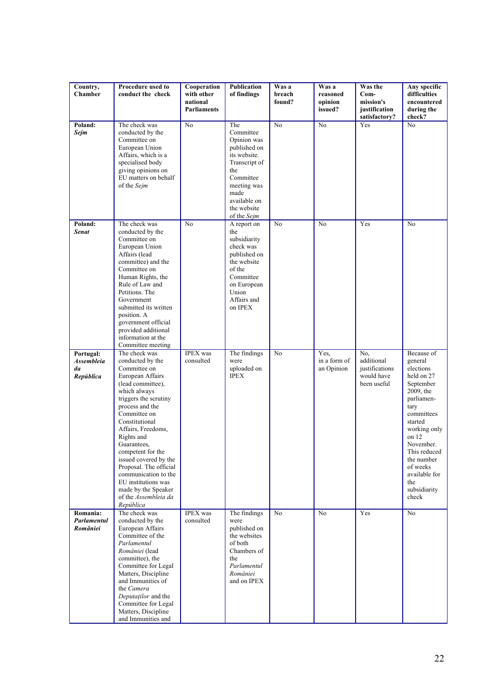| Country,<br>Chamber                        | Procedure used to<br>conduct the check                                                                                                                                                                                                                                                                                                                                                                                         | Cooperation<br>with other<br>national<br><b>Parliaments</b> | Publication<br>of findings                                                                                                                                                | Was a<br>breach<br>found? | Was a<br>reasoned<br>opinion<br>issued? | Was the<br>Com-<br>mission's<br>justification<br>satisfactory?   | Any specific<br>difficulties<br>encountered<br>during the<br>check?                                                                                                                                                                                        |
|--------------------------------------------|--------------------------------------------------------------------------------------------------------------------------------------------------------------------------------------------------------------------------------------------------------------------------------------------------------------------------------------------------------------------------------------------------------------------------------|-------------------------------------------------------------|---------------------------------------------------------------------------------------------------------------------------------------------------------------------------|---------------------------|-----------------------------------------|------------------------------------------------------------------|------------------------------------------------------------------------------------------------------------------------------------------------------------------------------------------------------------------------------------------------------------|
| Poland:<br>Sejm                            | The check was<br>conducted by the<br>Committee on<br>European Union<br>Affairs, which is a<br>specialised body<br>giving opinions on<br>EU matters on behalf<br>of the Sejm                                                                                                                                                                                                                                                    | No                                                          | The<br>Committee<br>Opinion was<br>published on<br>its website.<br>Transcript of<br>the<br>Committee<br>meeting was<br>made<br>available on<br>the website<br>of the Sejm | $\overline{No}$           | $\overline{No}$                         | Yes                                                              | $\overline{No}$                                                                                                                                                                                                                                            |
| Poland:<br><b>Senat</b>                    | The check was<br>conducted by the<br>Committee on<br>European Union<br>Affairs (lead<br>committee) and the<br>Committee on<br>Human Rights, the<br>Rule of Law and<br>Petitions. The<br>Government<br>submitted its written<br>position. A<br>government official<br>provided additional<br>information at the<br>Committee meeting                                                                                            | N <sub>0</sub>                                              | A report on<br>the<br>subsidiarity<br>check was<br>published on<br>the website<br>of the<br>Committee<br>on European<br>Union<br>Affairs and<br>on IPEX                   | N <sub>0</sub>            | N <sub>0</sub>                          | Yes                                                              | No                                                                                                                                                                                                                                                         |
| Portugal:<br>Assembleia<br>da<br>República | The check was<br>conducted by the<br>Committee on<br>European Affairs<br>(lead committee),<br>which always<br>triggers the scrutiny<br>process and the<br>Committee on<br>Constitutional<br>Affairs, Freedoms,<br>Rights and<br>Guarantees,<br>competent for the<br>issued covered by the<br>Proposal. The official<br>communication to the<br>EU institutions was<br>made by the Speaker<br>of the Assembleia da<br>República | <b>IPEX</b> was<br>consulted                                | The findings<br>were<br>uploaded on<br><b>IPEX</b>                                                                                                                        | No                        | Yes.<br>in a form of<br>an Opinion      | No.<br>additional<br>justifications<br>would have<br>been useful | Because of<br>general<br>elections<br>held on 27<br>September<br>2009, the<br>parliamen-<br>tary<br>committees<br>started<br>working only<br>on 12<br>November.<br>This reduced<br>the number<br>of weeks<br>available for<br>the<br>subsidiarity<br>check |
| Romania:<br>Parlamentul<br>României        | The check was<br>conducted by the<br>European Affairs<br>Committee of the<br>Parlamentul<br>României (lead<br>committee), the<br>Committee for Legal<br>Matters, Discipline<br>and Immunities of<br>the Camera<br>Deputaților and the<br>Committee for Legal<br>Matters, Discipline<br>and Immunities and                                                                                                                      | <b>IPEX</b> was<br>consulted                                | The findings<br>were<br>published on<br>the websites<br>of both<br>Chambers of<br>the<br>Parlamentul<br>României<br>and on IPEX                                           | N <sub>0</sub>            | N <sub>0</sub>                          | Yes                                                              | N <sub>o</sub>                                                                                                                                                                                                                                             |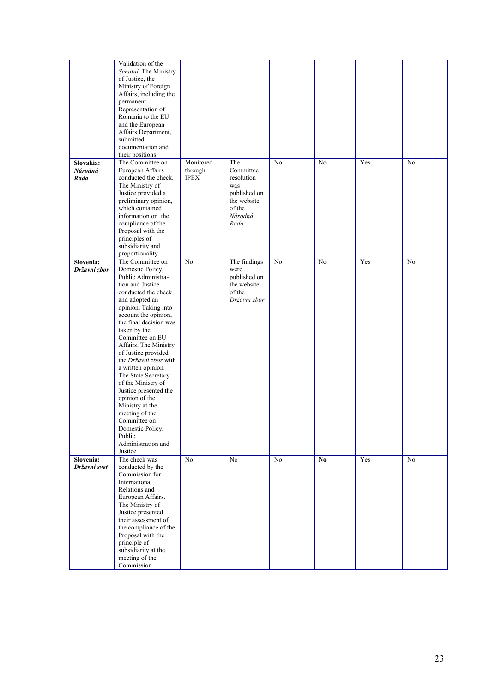|              | Validation of the      |                 |                 |                 |                 |     |                 |
|--------------|------------------------|-----------------|-----------------|-----------------|-----------------|-----|-----------------|
|              | Senatul. The Ministry  |                 |                 |                 |                 |     |                 |
|              | of Justice, the        |                 |                 |                 |                 |     |                 |
|              | Ministry of Foreign    |                 |                 |                 |                 |     |                 |
|              | Affairs, including the |                 |                 |                 |                 |     |                 |
|              | permanent              |                 |                 |                 |                 |     |                 |
|              | Representation of      |                 |                 |                 |                 |     |                 |
|              | Romania to the EU      |                 |                 |                 |                 |     |                 |
|              | and the European       |                 |                 |                 |                 |     |                 |
|              |                        |                 |                 |                 |                 |     |                 |
|              | Affairs Department,    |                 |                 |                 |                 |     |                 |
|              | submitted              |                 |                 |                 |                 |     |                 |
|              | documentation and      |                 |                 |                 |                 |     |                 |
|              | their positions        |                 |                 |                 |                 |     |                 |
| Slovakia:    | The Committee on       | Monitored       | The             | N <sub>o</sub>  | No              | Yes | No              |
| Národná      | European Affairs       | through         | Committee       |                 |                 |     |                 |
| Rada         | conducted the check.   | <b>IPEX</b>     | resolution      |                 |                 |     |                 |
|              | The Ministry of        |                 | was             |                 |                 |     |                 |
|              | Justice provided a     |                 | published on    |                 |                 |     |                 |
|              | preliminary opinion,   |                 | the website     |                 |                 |     |                 |
|              | which contained        |                 | of the          |                 |                 |     |                 |
|              |                        |                 |                 |                 |                 |     |                 |
|              | information on the     |                 | Národná         |                 |                 |     |                 |
|              | compliance of the      |                 | Rada            |                 |                 |     |                 |
|              | Proposal with the      |                 |                 |                 |                 |     |                 |
|              | principles of          |                 |                 |                 |                 |     |                 |
|              | subsidiarity and       |                 |                 |                 |                 |     |                 |
|              | proportionality        |                 |                 |                 |                 |     |                 |
| Slovenia:    | The Committee on       | $\overline{No}$ | The findings    | $\overline{No}$ | $\overline{No}$ | Yes | $\overline{No}$ |
| Državni zbor | Domestic Policy,       |                 | were            |                 |                 |     |                 |
|              | Public Administra-     |                 | published on    |                 |                 |     |                 |
|              | tion and Justice       |                 | the website     |                 |                 |     |                 |
|              | conducted the check    |                 | of the          |                 |                 |     |                 |
|              | and adopted an         |                 | Državni zbor    |                 |                 |     |                 |
|              | opinion. Taking into   |                 |                 |                 |                 |     |                 |
|              |                        |                 |                 |                 |                 |     |                 |
|              | account the opinion,   |                 |                 |                 |                 |     |                 |
|              | the final decision was |                 |                 |                 |                 |     |                 |
|              | taken by the           |                 |                 |                 |                 |     |                 |
|              | Committee on EU        |                 |                 |                 |                 |     |                 |
|              | Affairs. The Ministry  |                 |                 |                 |                 |     |                 |
|              | of Justice provided    |                 |                 |                 |                 |     |                 |
|              | the Državni zbor with  |                 |                 |                 |                 |     |                 |
|              | a written opinion.     |                 |                 |                 |                 |     |                 |
|              | The State Secretary    |                 |                 |                 |                 |     |                 |
|              | of the Ministry of     |                 |                 |                 |                 |     |                 |
|              | Justice presented the  |                 |                 |                 |                 |     |                 |
|              | opinion of the         |                 |                 |                 |                 |     |                 |
|              |                        |                 |                 |                 |                 |     |                 |
|              | Ministry at the        |                 |                 |                 |                 |     |                 |
|              | meeting of the         |                 |                 |                 |                 |     |                 |
|              | Committee on           |                 |                 |                 |                 |     |                 |
|              | Domestic Policy,       |                 |                 |                 |                 |     |                 |
|              | Public                 |                 |                 |                 |                 |     |                 |
|              | Administration and     |                 |                 |                 |                 |     |                 |
|              | Justice                |                 |                 |                 |                 |     |                 |
| Slovenia:    | The check was          | No              | $\overline{No}$ | No              | No              | Yes | No              |
| Državni svet | conducted by the       |                 |                 |                 |                 |     |                 |
|              | Commission for         |                 |                 |                 |                 |     |                 |
|              | International          |                 |                 |                 |                 |     |                 |
|              | Relations and          |                 |                 |                 |                 |     |                 |
|              | European Affairs.      |                 |                 |                 |                 |     |                 |
|              | The Ministry of        |                 |                 |                 |                 |     |                 |
|              | Justice presented      |                 |                 |                 |                 |     |                 |
|              |                        |                 |                 |                 |                 |     |                 |
|              | their assessment of    |                 |                 |                 |                 |     |                 |
|              | the compliance of the  |                 |                 |                 |                 |     |                 |
|              | Proposal with the      |                 |                 |                 |                 |     |                 |
|              | principle of           |                 |                 |                 |                 |     |                 |
|              | subsidiarity at the    |                 |                 |                 |                 |     |                 |
|              | meeting of the         |                 |                 |                 |                 |     |                 |
|              | Commission             |                 |                 |                 |                 |     |                 |